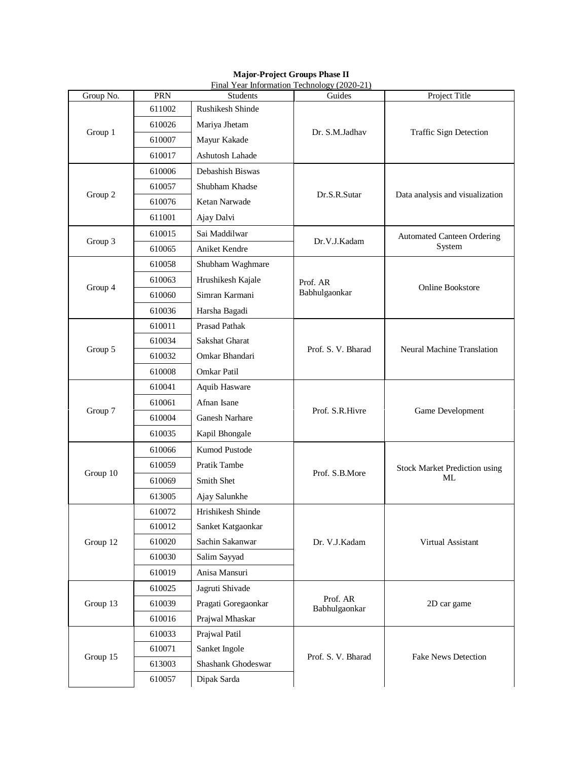| Final Year Information Technology (2020-21) |        |                       |                           |                                             |  |  |  |
|---------------------------------------------|--------|-----------------------|---------------------------|---------------------------------------------|--|--|--|
| Group No.                                   | PRN    | <b>Students</b>       | Guides                    | Project Title                               |  |  |  |
| Group 1                                     | 611002 | Rushikesh Shinde      | Dr. S.M.Jadhav            | Traffic Sign Detection                      |  |  |  |
|                                             | 610026 | Mariya Jhetam         |                           |                                             |  |  |  |
|                                             | 610007 | Mayur Kakade          |                           |                                             |  |  |  |
|                                             | 610017 | Ashutosh Lahade       |                           |                                             |  |  |  |
| Group 2                                     | 610006 | Debashish Biswas      | Dr.S.R.Sutar              | Data analysis and visualization             |  |  |  |
|                                             | 610057 | Shubham Khadse        |                           |                                             |  |  |  |
|                                             | 610076 | Ketan Narwade         |                           |                                             |  |  |  |
|                                             | 611001 | Ajay Dalvi            |                           |                                             |  |  |  |
| Group 3                                     | 610015 | Sai Maddilwar         | Dr.V.J.Kadam              | <b>Automated Canteen Ordering</b><br>System |  |  |  |
|                                             | 610065 | Aniket Kendre         |                           |                                             |  |  |  |
|                                             | 610058 | Shubham Waghmare      |                           | Online Bookstore                            |  |  |  |
| Group 4                                     | 610063 | Hrushikesh Kajale     | Prof. AR<br>Babhulgaonkar |                                             |  |  |  |
|                                             | 610060 | Simran Karmani        |                           |                                             |  |  |  |
|                                             | 610036 | Harsha Bagadi         |                           |                                             |  |  |  |
|                                             | 610011 | <b>Prasad Pathak</b>  | Prof. S. V. Bharad        | <b>Neural Machine Translation</b>           |  |  |  |
|                                             | 610034 | <b>Sakshat Gharat</b> |                           |                                             |  |  |  |
| Group 5                                     | 610032 | Omkar Bhandari        |                           |                                             |  |  |  |
|                                             | 610008 | Omkar Patil           |                           |                                             |  |  |  |
|                                             | 610041 | Aquib Hasware         | Prof. S.R.Hivre           | Game Development                            |  |  |  |
| Group 7                                     | 610061 | Afnan Isane           |                           |                                             |  |  |  |
|                                             | 610004 | Ganesh Narhare        |                           |                                             |  |  |  |
|                                             | 610035 | Kapil Bhongale        |                           |                                             |  |  |  |
|                                             | 610066 | Kumod Pustode         | Prof. S.B.More            | <b>Stock Market Prediction using</b><br>МL  |  |  |  |
| Group 10                                    | 610059 | Pratik Tambe          |                           |                                             |  |  |  |
|                                             | 610069 | Smith Shet            |                           |                                             |  |  |  |
|                                             | 613005 | Ajay Salunkhe         |                           |                                             |  |  |  |
| Group 12                                    | 610072 | Hrishikesh Shinde     | Dr. V.J.Kadam             | Virtual Assistant                           |  |  |  |
|                                             | 610012 | Sanket Katgaonkar     |                           |                                             |  |  |  |
|                                             | 610020 | Sachin Sakanwar       |                           |                                             |  |  |  |
|                                             | 610030 | Salim Sayyad          |                           |                                             |  |  |  |
|                                             | 610019 | Anisa Mansuri         |                           |                                             |  |  |  |
| Group 13                                    | 610025 | Jagruti Shivade       | Prof. AR<br>Babhulgaonkar | 2D car game                                 |  |  |  |
|                                             | 610039 | Pragati Goregaonkar   |                           |                                             |  |  |  |
|                                             | 610016 | Prajwal Mhaskar       |                           |                                             |  |  |  |
| Group 15                                    | 610033 | Prajwal Patil         | Prof. S. V. Bharad        | <b>Fake News Detection</b>                  |  |  |  |
|                                             | 610071 | Sanket Ingole         |                           |                                             |  |  |  |
|                                             | 613003 | Shashank Ghodeswar    |                           |                                             |  |  |  |
|                                             | 610057 | Dipak Sarda           |                           |                                             |  |  |  |

**Major-Project Groups Phase II**